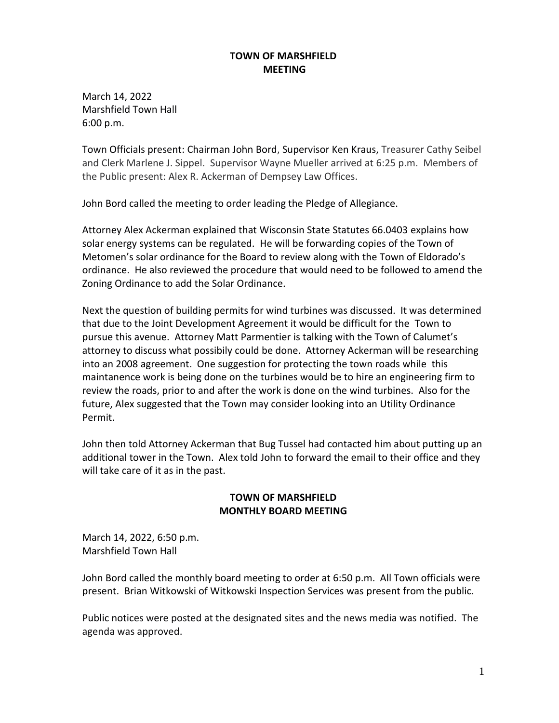## **TOWN OF MARSHFIELD MEETING**

March 14, 2022 Marshfield Town Hall 6:00 p.m.

Town Officials present: Chairman John Bord, Supervisor Ken Kraus, Treasurer Cathy Seibel and Clerk Marlene J. Sippel. Supervisor Wayne Mueller arrived at 6:25 p.m. Members of the Public present: Alex R. Ackerman of Dempsey Law Offices.

John Bord called the meeting to order leading the Pledge of Allegiance.

Attorney Alex Ackerman explained that Wisconsin State Statutes 66.0403 explains how solar energy systems can be regulated. He will be forwarding copies of the Town of Metomen's solar ordinance for the Board to review along with the Town of Eldorado's ordinance. He also reviewed the procedure that would need to be followed to amend the Zoning Ordinance to add the Solar Ordinance.

Next the question of building permits for wind turbines was discussed. It was determined that due to the Joint Development Agreement it would be difficult for the Town to pursue this avenue. Attorney Matt Parmentier is talking with the Town of Calumet's attorney to discuss what possibily could be done. Attorney Ackerman will be researching into an 2008 agreement. One suggestion for protecting the town roads while this maintanence work is being done on the turbines would be to hire an engineering firm to review the roads, prior to and after the work is done on the wind turbines. Also for the future, Alex suggested that the Town may consider looking into an Utility Ordinance Permit.

John then told Attorney Ackerman that Bug Tussel had contacted him about putting up an additional tower in the Town. Alex told John to forward the email to their office and they will take care of it as in the past.

#### **TOWN OF MARSHFIELD MONTHLY BOARD MEETING**

March 14, 2022, 6:50 p.m. Marshfield Town Hall

John Bord called the monthly board meeting to order at 6:50 p.m. All Town officials were present. Brian Witkowski of Witkowski Inspection Services was present from the public.

Public notices were posted at the designated sites and the news media was notified. The agenda was approved.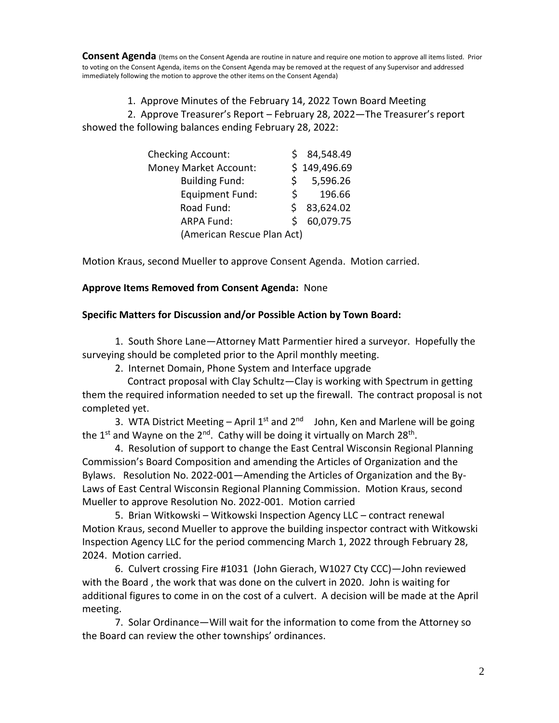**Consent Agenda** (Items on the Consent Agenda are routine in nature and require one motion to approve all items listed. Prior to voting on the Consent Agenda, items on the Consent Agenda may be removed at the request of any Supervisor and addressed immediately following the motion to approve the other items on the Consent Agenda)

1. Approve Minutes of the February 14, 2022 Town Board Meeting

 2. Approve Treasurer's Report – February 28, 2022—The Treasurer's report showed the following balances ending February 28, 2022:

| <b>Checking Account:</b>     | 84,548.49    |
|------------------------------|--------------|
| <b>Money Market Account:</b> | \$149,496.69 |
| <b>Building Fund:</b>        | 5,596.26     |
| <b>Equipment Fund:</b><br>S. | 196.66       |
| Road Fund:                   | 83,624.02    |
| <b>ARPA Fund:</b>            | 60,079.75    |
| (American Rescue Plan Act)   |              |

Motion Kraus, second Mueller to approve Consent Agenda. Motion carried.

#### **Approve Items Removed from Consent Agenda:** None

#### **Specific Matters for Discussion and/or Possible Action by Town Board:**

1. South Shore Lane—Attorney Matt Parmentier hired a surveyor. Hopefully the surveying should be completed prior to the April monthly meeting.

2. Internet Domain, Phone System and Interface upgrade

 Contract proposal with Clay Schultz—Clay is working with Spectrum in getting them the required information needed to set up the firewall. The contract proposal is not completed yet.

3. WTA District Meeting – April  $1^{st}$  and  $2^{nd}$  John, Ken and Marlene will be going the 1<sup>st</sup> and Wayne on the 2<sup>nd</sup>. Cathy will be doing it virtually on March 28<sup>th</sup>.

4. Resolution of support to change the East Central Wisconsin Regional Planning Commission's Board Composition and amending the Articles of Organization and the Bylaws. Resolution No. 2022-001—Amending the Articles of Organization and the By-Laws of East Central Wisconsin Regional Planning Commission. Motion Kraus, second Mueller to approve Resolution No. 2022-001. Motion carried

5. Brian Witkowski – Witkowski Inspection Agency LLC – contract renewal Motion Kraus, second Mueller to approve the building inspector contract with Witkowski Inspection Agency LLC for the period commencing March 1, 2022 through February 28, 2024. Motion carried.

6. Culvert crossing Fire #1031 (John Gierach, W1027 Cty CCC)—John reviewed with the Board , the work that was done on the culvert in 2020. John is waiting for additional figures to come in on the cost of a culvert. A decision will be made at the April meeting.

7. Solar Ordinance—Will wait for the information to come from the Attorney so the Board can review the other townships' ordinances.